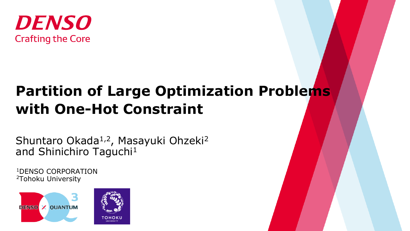

# **Partition of Large Optimization Problems with One-Hot Constraint**

Shuntaro Okada<sup>1,2</sup>, Masayuki Ohzeki<sup>2</sup> and Shinichiro Taguchi<sup>1</sup>

<sup>1</sup>DENSO CORPORATION 2Tohoku University



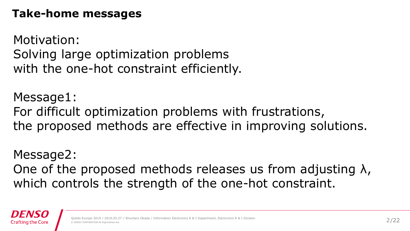#### **Take-home messages**

Motivation: Solving large optimization problems with the one-hot constraint efficiently.

Message1: For difficult optimization problems with frustrations, the proposed methods are effective in improving solutions.

Message2: One of the proposed methods releases us from adjusting  $\lambda$ , which controls the strength of the one-hot constraint.

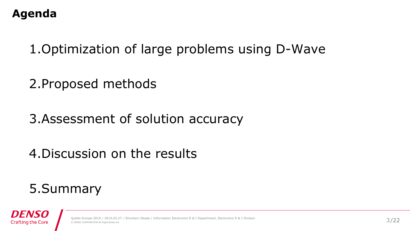#### **Agenda**

1.Optimization of large problems using D-Wave

2.Proposed methods

3.Assessment of solution accuracy

4.Discussion on the results

## 5.Summary



/ Shuntaro Okada / Information Electronics R & I Department, Electronics R & I Divisior © DENSO CORPORATION All RightsReserved.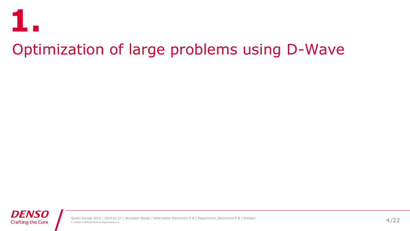

# Optimization of large problems using D-Wave

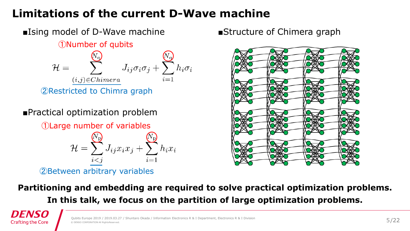#### **Limitations of the current D-Wave machine**



■Practical optimization problem

①Large number of variables

$$
\mathcal{H} = \sum_{i < j}^{N_{\mathrm{p}}} J_{ij} x_i x_j + \sum_{i=1}^{N_{\mathrm{p}}} h_i x_i
$$

②Between arbitrary variables



**Partitioning and embedding are required to solve practical optimization problems. In this talk, we focus on the partition of large optimization problems.**

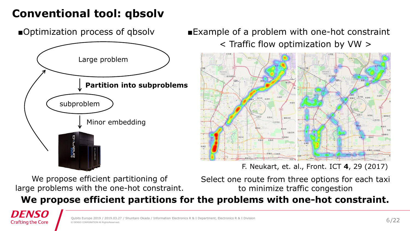#### **Conventional tool: qbsolv**

■Optimization process of qbsolv



■Example of a problem with one-hot constraint < Traffic flow optimization by VW >



F. Neukart, et. al., Front. ICT **4**, 29 (2017)

We propose efficient partitioning of large problems with the one-hot constraint. Select one route from three options for each taxi to minimize traffic congestion

**We propose efficient partitions for the problems with one-hot constraint.**

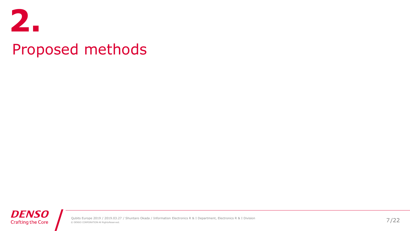

# Proposed methods

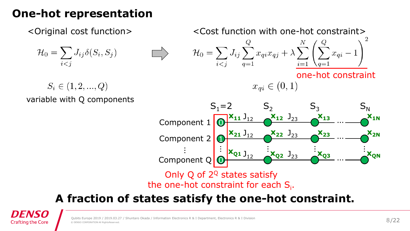#### **One-hot representation**

$$
\mathcal{H}_0 = \sum_{i < j} J_{ij} \delta(S_i, S_j)
$$

<Original cost function> <Cost function with one-hot constraint>

$$
\mathcal{H}_0 = \sum_{i < j} J_{ij} \sum_{q=1}^{Q} x_{qi} x_{qj} + \lambda \sum_{i=1}^{N} \left( \sum_{q=1}^{Q} x_{qi} - 1 \right)^2
$$

 $x_{qi} \in (0, 1)$ 

one-hot constraint

$$
\in (1,2,...,Q)
$$

variable with Q components

 $S_i$ 



Only Q of  $2^{\mathbb{Q}}$  states satisfy the one-hot constraint for each  $S_i$ .

#### **A fraction of states satisfy the one-hot constraint.**

**Crafting the Core**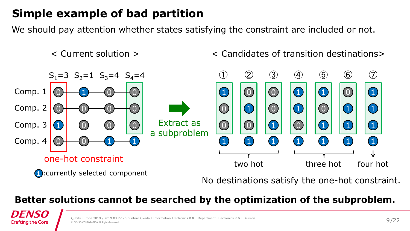#### **Simple example of bad partition**

We should pay attention whether states satisfying the constraint are included or not.

< Current solution >

#### < Candidates of transition destinations>



**Better solutions cannot be searched by the optimization of the subproblem.**

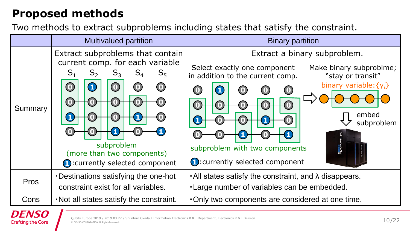#### **Proposed methods**

Two methods to extract subproblems including states that satisfy the constraint.

|             | <b>Multivalued partition</b>                                                                                                                                                          | <b>Binary partition</b>                                                                                                                                                                                                                                                                                  |
|-------------|---------------------------------------------------------------------------------------------------------------------------------------------------------------------------------------|----------------------------------------------------------------------------------------------------------------------------------------------------------------------------------------------------------------------------------------------------------------------------------------------------------|
| Summary     | Extract subproblems that contain<br>current comp. for each variable<br>$\mathsf{S}_1$<br>$S_5$<br>subproblem<br>(more than two components)<br><b>n</b> : currently selected component | Extract a binary subproblem.<br>Select exactly one component<br>Make binary subproblme;<br>in addition to the current comp.<br>"stay or transit"<br>binary variable: $\{y_i\}$<br>embed<br>subproblem<br><b>ande</b><br><b>ande</b><br>subproblem with two components<br>1: currently selected component |
| <b>Pros</b> | . Destinations satisfying the one-hot<br>constraint exist for all variables.                                                                                                          | $\cdot$ All states satisfy the constraint, and $\lambda$ disappears.<br>. Large number of variables can be embedded.                                                                                                                                                                                     |
| Cons        | . Not all states satisfy the constraint.                                                                                                                                              | . Only two components are considered at one time.                                                                                                                                                                                                                                                        |

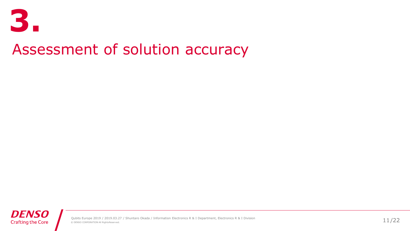

# Assessment of solution accuracy

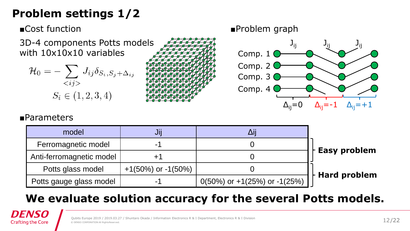#### **Problem settings 1/2**

■Cost function

3D-4 components Potts models with  $10x10x10$  variables  $\sqrt{2}$ 

$$
\mathcal{H}_0 = -\sum_{\langle ij \rangle} J_{ij} \delta_{S_i, S_j + \Delta_{ij}}
$$

$$
S_i \in (1, 2, 3, 4)
$$



J<sub>ij</sub>  $\Delta_{ii} = 0$  ${\bf J_{ij}}$   ${\bf J_{ij}}$  $\Delta_{ii}=-1$   $\Delta_{ii}=+1$ Comp. 2 Comp. 3 Comp. 4

■Problem graph

#### ■Parameters

| model                    | JIJ                      | Δii                             |                       |
|--------------------------|--------------------------|---------------------------------|-----------------------|
| Ferromagnetic model      |                          |                                 | $\vdash$ Easy problem |
| Anti-ferromagnetic model |                          |                                 |                       |
| Potts glass model        | $+1(50\%)$ or $-1(50\%)$ |                                 |                       |
| Potts gauge glass model  |                          | $0(50\%)$ or +1(25%) or -1(25%) | $\vdash$ Hard problem |

#### **We evaluate solution accuracy for the several Potts models.**

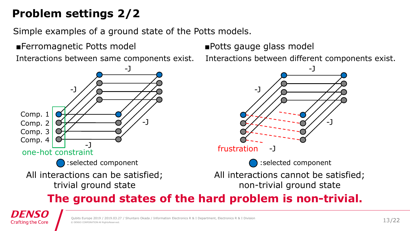### **Problem settings 2/2**

Simple examples of a ground state of the Potts models.

■Ferromagnetic Potts model ■Potts gauge glass model



Interactions between same components exist. Interactions between different components exist.



#### **The ground states of the hard problem is non-trivial.**

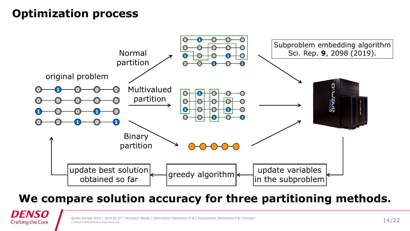#### **Optimization process**

*DENSO* **Crafting the Core** 



#### **We compare solution accuracy for three partitioning methods.**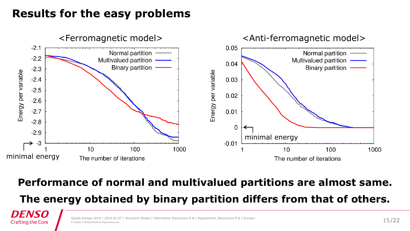#### **Results for the easy problems**

DENSO **Crafting the Core** 



#### **Performance of normal and multivalued partitions are almost same.**

**The energy obtained by binary partition differs from that of others.**

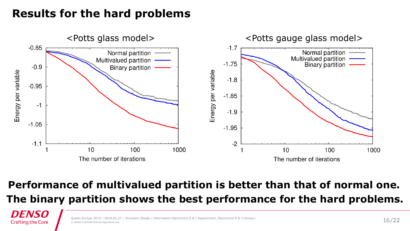#### **Results for the hard problems**

*DENSO* **Crafting the Core** 



#### **Performance of multivalued partition is better than that of normal one. The binary partition shows the best performance for the hard problems.**

/ Shuntaro Okada / Information Electronics R & I Department, Electronics R & I Division © DENSO CORPORATION All RightsReserved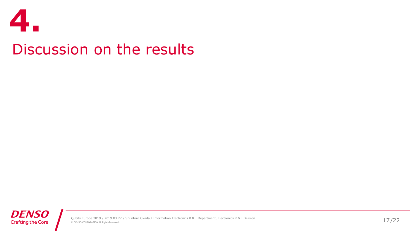

# Discussion on the results

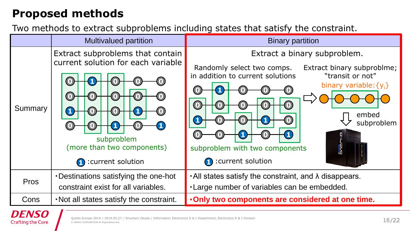#### **Proposed methods**

Two methods to extract subproblems including states that satisfy the constraint.

|             | <b>Multivalued partition</b>                                                                                                                      | <b>Binary partition</b>                                                                                                                                                                                                                                                        |
|-------------|---------------------------------------------------------------------------------------------------------------------------------------------------|--------------------------------------------------------------------------------------------------------------------------------------------------------------------------------------------------------------------------------------------------------------------------------|
| Summary     | Extract subproblems that contain<br>current solution for each variable<br>subproblem<br>(more than two components)<br><b>n</b> : current solution | Extract a binary subproblem.<br>Randomly select two comps.<br>Extract binary subproblme;<br>in addition to current solutions<br>"transit or not"<br>binary variable: $\{y_i\}$<br>embed<br>subproblem<br>avea<br>subproblem with two components<br><b>1</b> : current solution |
| <b>Pros</b> | . Destinations satisfying the one-hot<br>constraint exist for all variables.                                                                      | • All states satisfy the constraint, and λ disappears.<br>. Large number of variables can be embedded.                                                                                                                                                                         |
| Cons        | . Not all states satisfy the constraint.                                                                                                          | . Only two components are considered at one time.                                                                                                                                                                                                                              |

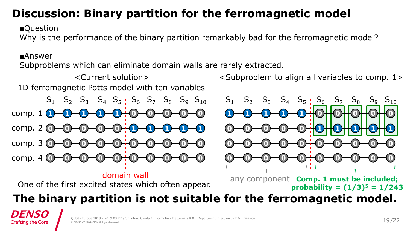#### **Discussion: Binary partition for the ferromagnetic model**

■Question

Why is the performance of the binary partition remarkably bad for the ferromagnetic model?

#### ■Answer

Subproblems which can eliminate domain walls are rarely extracted.

<Current solution> 1D ferromagnetic Potts model with ten variables

**1** comp. 1 **0** comp. 2 **0** comp. 3 **0** comp. 4  $S_1$   $S_2$   $S_3$   $S_4$   $S_5$   $S_6$   $S_7$   $S_8$   $S_9$   $S_{10}$ 

#### domain wall

One of the first excited states which often appear.

<Subproblem to align all variables to comp. 1>



any component **Comp. 1 must be included; probability = (1/3)<sup>5</sup> = 1/243**

#### **The binary partition is not suitable for the ferromagnetic model.**

DENS **Crafting the Core**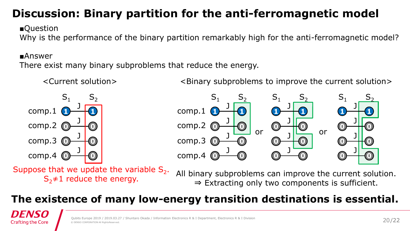#### **Discussion: Binary partition for the anti-ferromagnetic model**

■Question

Why is the performance of the binary partition remarkably high for the anti-ferromagnetic model?

#### ■Answer

There exist many binary subproblems that reduce the energy.



<Current solution>

<Binary subproblems to improve the current solution>



Suppose that we update the variable  $S_2$ .  $S_2 \neq 1$  reduce the energy.

All binary subproblems can improve the current solution. ⇒ Extracting only two components is sufficient.

#### **The existence of many low-energy transition destinations is essential.**

**IFNS Crafting the Core**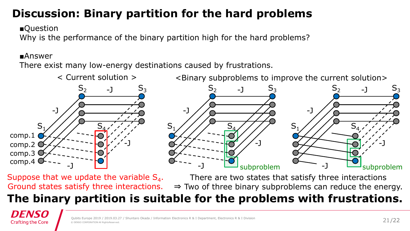#### **Discussion: Binary partition for the hard problems**

■Question

Why is the performance of the binary partition high for the hard problems?

#### ■Answer

There exist many low-energy destinations caused by frustrations.



<Binary subproblems to improve the current solution>



Suppose that we update the variable  $S_4$ . Ground states satisfy three interactions.

There are two states that satisfy three interactions ⇒ Two of three binary subproblems can reduce the energy.

# **The binary partition is suitable for the problems with frustrations.**

DENSC **Crafting the Core**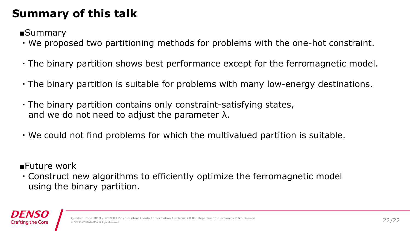#### **Summary of this talk**

■Summary

- ・We proposed two partitioning methods for problems with the one-hot constraint.
- ・The binary partition shows best performance except for the ferromagnetic model.
- ・The binary partition is suitable for problems with many low-energy destinations.
- ・The binary partition contains only constraint-satisfying states, and we do not need to adjust the parameter  $\lambda$ .
- ・We could not find problems for which the multivalued partition is suitable.

■Future work

・Construct new algorithms to efficiently optimize the ferromagnetic model using the binary partition.

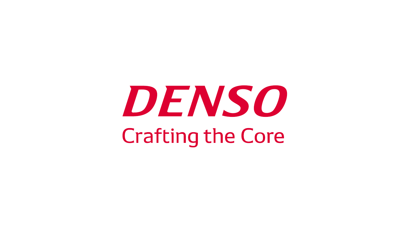# DENSO **Crafting the Core**